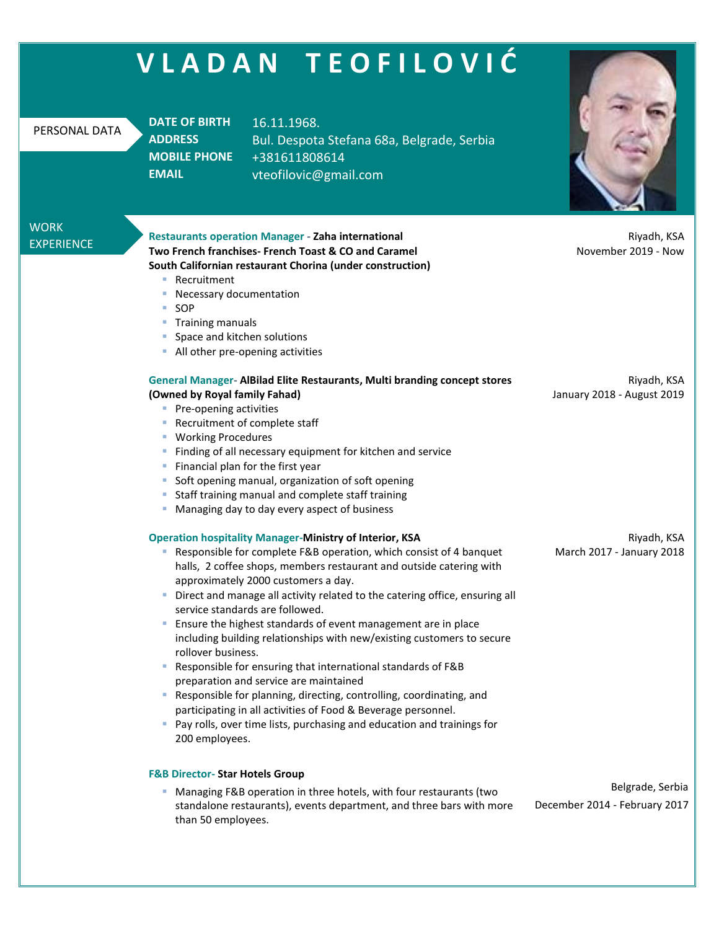| VLADAN TEOFILOVIĆ                                                                                                                                                                                                                                                                                                                                     |                                                                                                                                                                                                                                                                                                                                                                                                                                                                                                                                                                                                                                                                                                                                                                                                                                                                                                                          |                                                                                                                                                |                                                   |  |
|-------------------------------------------------------------------------------------------------------------------------------------------------------------------------------------------------------------------------------------------------------------------------------------------------------------------------------------------------------|--------------------------------------------------------------------------------------------------------------------------------------------------------------------------------------------------------------------------------------------------------------------------------------------------------------------------------------------------------------------------------------------------------------------------------------------------------------------------------------------------------------------------------------------------------------------------------------------------------------------------------------------------------------------------------------------------------------------------------------------------------------------------------------------------------------------------------------------------------------------------------------------------------------------------|------------------------------------------------------------------------------------------------------------------------------------------------|---------------------------------------------------|--|
| PERSONAL DATA                                                                                                                                                                                                                                                                                                                                         | <b>DATE OF BIRTH</b><br><b>ADDRESS</b><br><b>MOBILE PHONE</b><br><b>EMAIL</b>                                                                                                                                                                                                                                                                                                                                                                                                                                                                                                                                                                                                                                                                                                                                                                                                                                            | 16.11.1968.<br>Bul. Despota Stefana 68a, Belgrade, Serbia<br>+381611808614<br>vteofilovic@gmail.com                                            |                                                   |  |
| <b>WORK</b><br><b>EXPERIENCE</b>                                                                                                                                                                                                                                                                                                                      | <b>Restaurants operation Manager - Zaha international</b><br>Two French franchises- French Toast & CO and Caramel<br>South Californian restaurant Chorina (under construction)<br>Recruitment<br><b>COL</b><br>Necessary documentation<br>SOP<br>a.<br><b>Training manuals</b><br>$\sim$<br>Space and kitchen solutions<br>All other pre-opening activities<br>and the                                                                                                                                                                                                                                                                                                                                                                                                                                                                                                                                                   |                                                                                                                                                | Riyadh, KSA<br>November 2019 - Now                |  |
| (Owned by Royal family Fahad)<br>• Pre-opening activities<br>Recruitment of complete staff<br><b>Working Procedures</b><br>$\mathcal{L}_{\mathcal{A}}$<br>Financial plan for the first year<br>Soft opening manual, organization of soft opening<br>Staff training manual and complete staff training<br>Managing day to day every aspect of business |                                                                                                                                                                                                                                                                                                                                                                                                                                                                                                                                                                                                                                                                                                                                                                                                                                                                                                                          | <b>General Manager- AlBilad Elite Restaurants, Multi branding concept stores</b><br>Finding of all necessary equipment for kitchen and service | Riyadh, KSA<br>January 2018 - August 2019         |  |
|                                                                                                                                                                                                                                                                                                                                                       | <b>Operation hospitality Manager-Ministry of Interior, KSA</b><br>Responsible for complete F&B operation, which consist of 4 banquet<br>$\blacksquare$<br>halls, 2 coffee shops, members restaurant and outside catering with<br>approximately 2000 customers a day.<br>Direct and manage all activity related to the catering office, ensuring all<br>ш<br>service standards are followed.<br>Ensure the highest standards of event management are in place<br>including building relationships with new/existing customers to secure<br>rollover business.<br>Responsible for ensuring that international standards of F&B<br>a.<br>preparation and service are maintained<br>Responsible for planning, directing, controlling, coordinating, and<br>a.<br>participating in all activities of Food & Beverage personnel.<br>• Pay rolls, over time lists, purchasing and education and trainings for<br>200 employees. |                                                                                                                                                | Riyadh, KSA<br>March 2017 - January 2018          |  |
|                                                                                                                                                                                                                                                                                                                                                       | <b>F&amp;B Director- Star Hotels Group</b><br>Managing F&B operation in three hotels, with four restaurants (two<br>a.<br>standalone restaurants), events department, and three bars with more<br>than 50 employees.                                                                                                                                                                                                                                                                                                                                                                                                                                                                                                                                                                                                                                                                                                     |                                                                                                                                                | Belgrade, Serbia<br>December 2014 - February 2017 |  |